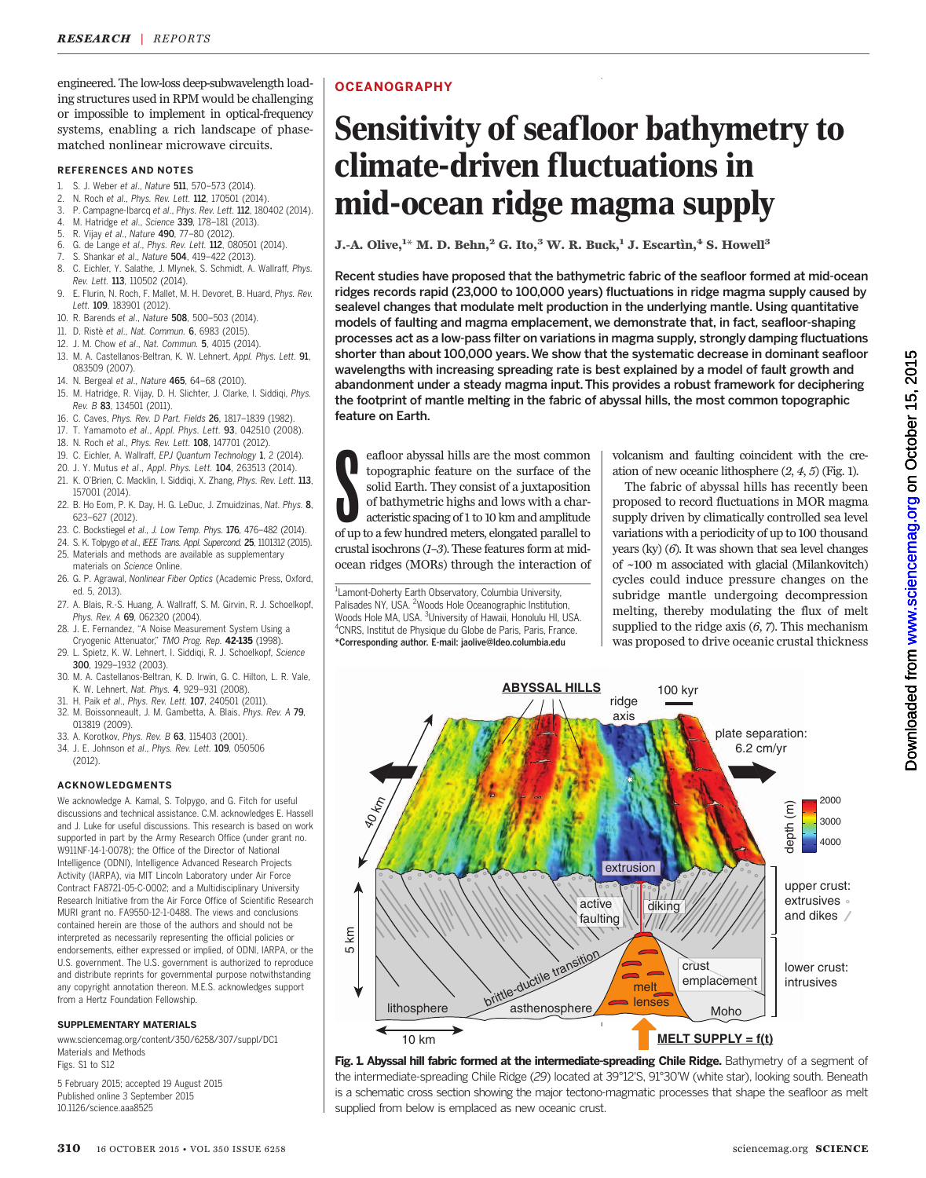engineered. The low-loss deep-subwavelength loading structures used in RPM would be challenging or impossible to implement in optical-frequency systems, enabling a rich landscape of phasematched nonlinear microwave circuits.

### REFERENCES AND NOTES

- 1. S. J. Weber et al., Nature 511, 570–573 (2014).
- 2. N. Roch et al., Phys. Rev. Lett. 112, 170501 (2014). 3. P. Campagne-Ibarcq et al., Phys. Rev. Lett. 112, 180402 (2014).
- 4. M. Hatridge et al., Science 339, 178–181 (2013).
- 5. R. Vijay et al., Nature 490, 77–80 (2012).
- 6. G. de Lange et al., Phys. Rev. Lett. 112, 080501 (2014).
- S. Shankar et al., Nature 504, 419-422 (2013).
- 8. C. Eichler, Y. Salathe, J. Mlynek, S. Schmidt, A. Wallraff, Phys. Rev. Lett. 113, 110502 (2014).
- 9. E. Flurin, N. Roch, F. Mallet, M. H. Devoret, B. Huard, Phys. Rev. Lett. 109, 183901 (2012).
- 10. R. Barends et al., Nature 508, 500–503 (2014).
- 11. D. Ristè et al., Nat. Commun. 6, 6983 (2015).
- 12. J. M. Chow et al., Nat. Commun. 5, 4015 (2014).
- 13. M. A. Castellanos-Beltran, K. W. Lehnert, Appl. Phys. Lett. 91, 083509 (2007).
- 14. N. Bergeal et al., Nature 465, 64–68 (2010).
- 15. M. Hatridge, R. Vijay, D. H. Slichter, J. Clarke, I. Siddiqi, Phys. Rev. B 83, 134501 (2011).
- 16. C. Caves, Phys. Rev. D Part. Fields 26, 1817–1839 (1982).
- 17. T. Yamamoto et al., Appl. Phys. Lett. 93, 042510 (2008).
- 18. N. Roch et al., Phys. Rev. Lett. 108, 147701 (2012).
- 19. C. Eichler, A. Wallraff, EPJ Quantum Technology 1, 2 (2014).
- 20. J. Y. Mutus et al., Appl. Phys. Lett. 104, 263513 (2014).
- 21. K. O'Brien, C. Macklin, I. Siddiqi, X. Zhang, Phys. Rev. Lett. 113, 157001 (2014).
- 22. B. Ho Eom, P. K. Day, H. G. LeDuc, J. Zmuidzinas, Nat. Phys. 8, 623–627 (2012).
- 23. C. Bockstiegel et al., J. Low Temp. Phys. 176, 476–482 (2014).
- 24. S. K. Tolpygo et al., IEEE Trans. Appl. Supercond. 25, 1101312 (2015).
- 25. Materials and methods are available as supplementary materials on Science Online.
- 26. G. P. Agrawal, Nonlinear Fiber Optics (Academic Press, Oxford, ed. 5, 2013).
- 27. A. Blais, R.-S. Huang, A. Wallraff, S. M. Girvin, R. J. Schoelkopf, Phys. Rev. A 69, 062320 (2004).
- 28. J. E. Fernandez, "A Noise Measurement System Using a Cryogenic Attenuator," TMO Prog. Rep. 42-135 (1998).
- 29. L. Spietz, K. W. Lehnert, I. Siddiqi, R. J. Schoelkopf, Science 300, 1929–1932 (2003).
- 30. M. A. Castellanos-Beltran, K. D. Irwin, G. C. Hilton, L. R. Vale,
- K. W. Lehnert, Nat. Phys. 4, 929–931 (2008). 31. H. Paik et al., Phys. Rev. Lett. 107, 240501 (2011).
- 32. M. Boissonneault, J. M. Gambetta, A. Blais, Phys. Rev. A 79, 013819 (2009).
- 33. A. Korotkov, Phys. Rev. B 63, 115403 (2001).
- 34. J. E. Johnson et al., Phys. Rev. Lett. 109, 050506  $(2012)$

## ACKNOWLEDGMENTS

We acknowledge A. Kamal, S. Tolpygo, and G. Fitch for useful discussions and technical assistance. C.M. acknowledges E. Hassell and J. Luke for useful discussions. This research is based on work supported in part by the Army Research Office (under grant no. W911NF-14-1-0078); the Office of the Director of National Intelligence (ODNI), Intelligence Advanced Research Projects Activity (IARPA), via MIT Lincoln Laboratory under Air Force Contract FA8721-05-C-0002; and a Multidisciplinary University Research Initiative from the Air Force Office of Scientific Research MURI grant no. FA9550-12-1-0488. The views and conclusions contained herein are those of the authors and should not be interpreted as necessarily representing the official policies or endorsements, either expressed or implied, of ODNI, IARPA, or the U.S. government. The U.S. government is authorized to reproduce and distribute reprints for governmental purpose notwithstanding any copyright annotation thereon. M.E.S. acknowledges support from a Hertz Foundation Fellowship.

### SUPPLEMENTARY MATERIALS

www.sciencemag.org/content/350/6258/307/suppl/DC1 Materials and Methods Figs. S1 to S12

5 February 2015; accepted 19 August 2015 Published online 3 September 2015 10.1126/science.aaa8525

## **OCEANOGRAPHY**

# Sensitivity of seafloor bathymetry to climate-driven fluctuations in mid-ocean ridge magma supply

J.-A. Olive,  $^{1*}$  M. D. Behn,  $^2$  G. Ito,  $^3$  W. R. Buck,  $^1$  J. Escartìn,  $^4$  S. Howell  $^3$ 

Recent studies have proposed that the bathymetric fabric of the seafloor formed at mid-ocean ridges records rapid (23,000 to 100,000 years) fluctuations in ridge magma supply caused by sealevel changes that modulate melt production in the underlying mantle. Using quantitative models of faulting and magma emplacement, we demonstrate that, in fact, seafloor-shaping processes act as a low-pass filter on variations in magma supply, strongly damping fluctuations shorter than about 100,000 years. We show that the systematic decrease in dominant seafloor wavelengths with increasing spreading rate is best explained by a model of fault growth and abandonment under a steady magma input. This provides a robust framework for deciphering the footprint of mantle melting in the fabric of abyssal hills, the most common topographic feature on Earth.

eafloor abyssal hills are the most common topographic feature on the surface of the solid Earth. They consist of a juxtaposition of bathymetric highs and lows with a characteristic spacing of 1 to 10 km and amplitude of up eafloor abyssal hills are the most common topographic feature on the surface of the solid Earth. They consist of a juxtaposition of bathymetric highs and lows with a characteristic spacing of 1 to 10 km and amplitude crustal isochrons (1–3). These features form at midocean ridges (MORs) through the interaction of

<sup>1</sup> Lamont-Doherty Earth Observatory, Columbia University, Palisades NY, USA. <sup>2</sup>Woods Hole Oceanographic Institution, Woods Hole MA, USA. <sup>3</sup>University of Hawaii, Honolulu HI, USA.<br><sup>4</sup>CNPS, Institut do Physique du Clobe de Paris, Paris, France. <sup>4</sup>CNRS, Institut de Physique du Globe de Paris, Paris, France. \*Corresponding author. E-mail: jaolive@ldeo.columbia.edu

volcanism and faulting coincident with the creation of new oceanic lithosphere (2, 4, 5) (Fig. 1).

The fabric of abyssal hills has recently been proposed to record fluctuations in MOR magma supply driven by climatically controlled sea level variations with a periodicity of up to 100 thousand years (ky) (6). It was shown that sea level changes of ~100 m associated with glacial (Milankovitch) cycles could induce pressure changes on the subridge mantle undergoing decompression melting, thereby modulating the flux of melt supplied to the ridge axis  $(6, 7)$ . This mechanism was proposed to drive oceanic crustal thickness



Fig. 1. Abyssal hill fabric formed at the intermediate-spreading Chile Ridge. Bathymetry of a segment of the intermediate-spreading Chile Ridge (29) located at 39°12'S, 91°30'W (white star), looking south. Beneath is a schematic cross section showing the major tectono-magmatic processes that shape the seafloor as melt supplied from below is emplaced as new oceanic crust.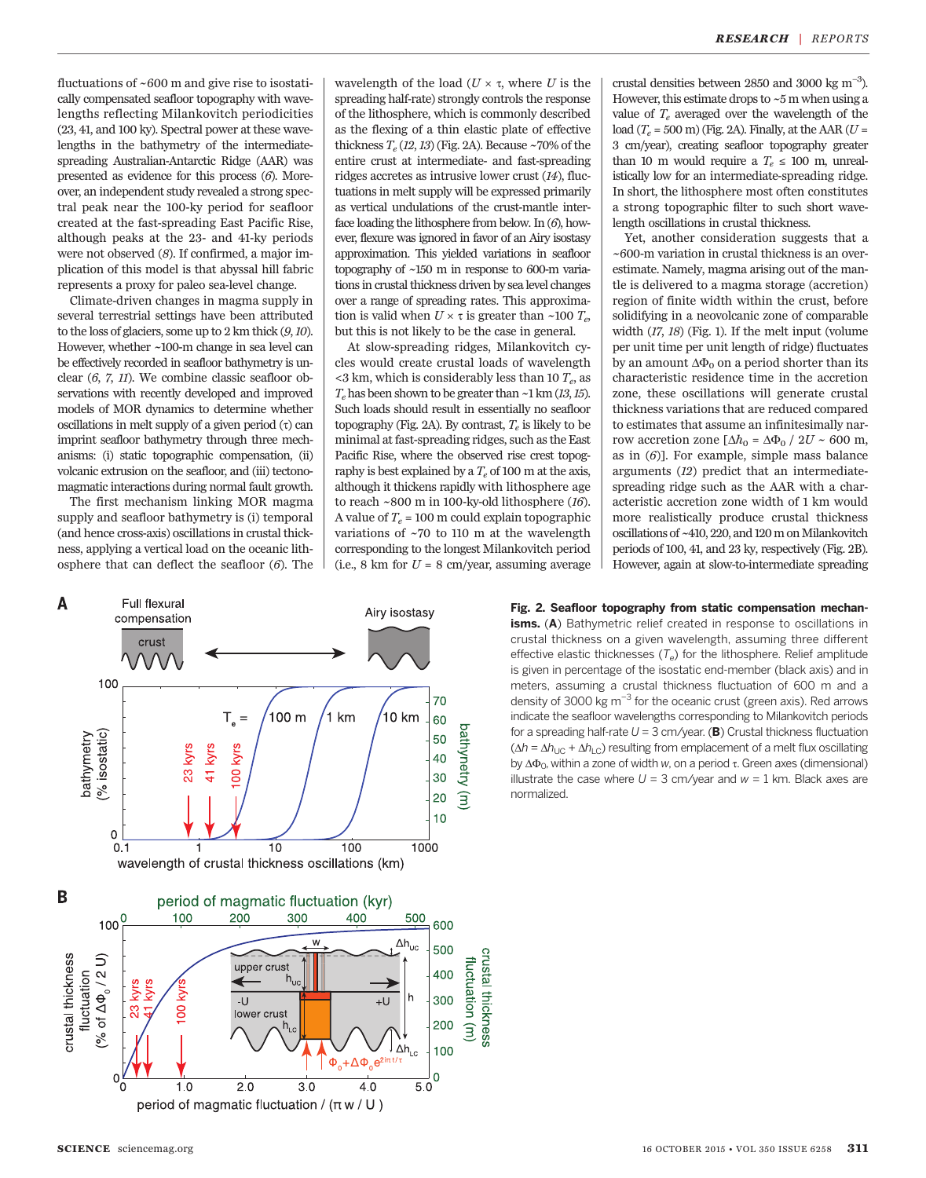fluctuations of ~600 m and give rise to isostatically compensated seafloor topography with wavelengths reflecting Milankovitch periodicities (23, 41, and 100 ky). Spectral power at these wavelengths in the bathymetry of the intermediatespreading Australian-Antarctic Ridge (AAR) was presented as evidence for this process (6). Moreover, an independent study revealed a strong spectral peak near the 100-ky period for seafloor created at the fast-spreading East Pacific Rise, although peaks at the 23- and 41-ky periods were not observed (8). If confirmed, a major implication of this model is that abyssal hill fabric represents a proxy for paleo sea-level change.

Climate-driven changes in magma supply in several terrestrial settings have been attributed to the loss of glaciers, some up to 2 km thick (9,10). However, whether ~100-m change in sea level can be effectively recorded in seafloor bathymetry is unclear (6, 7, 11). We combine classic seafloor observations with recently developed and improved models of MOR dynamics to determine whether oscillations in melt supply of a given period  $(τ)$  can imprint seafloor bathymetry through three mechanisms: (i) static topographic compensation, (ii) volcanic extrusion on the seafloor, and (iii) tectonomagmatic interactions during normal fault growth.

The first mechanism linking MOR magma supply and seafloor bathymetry is (i) temporal (and hence cross-axis) oscillations in crustal thickness, applying a vertical load on the oceanic lithosphere that can deflect the seafloor (6). The

wavelength of the load ( $U \times \tau$ , where U is the spreading half-rate) strongly controls the response of the lithosphere, which is commonly described as the flexing of a thin elastic plate of effective thickness  $T_e$  (12, 13) (Fig. 2A). Because ~70% of the entire crust at intermediate- and fast-spreading ridges accretes as intrusive lower crust (14), fluctuations in melt supply will be expressed primarily as vertical undulations of the crust-mantle interface loading the lithosphere from below. In  $(6)$ , however, flexure was ignored in favor of an Airy isostasy approximation. This yielded variations in seafloor topography of ~150 m in response to 600-m variations in crustal thickness driven by sea level changes over a range of spreading rates. This approximation is valid when  $U \times \tau$  is greater than ~100  $T_e$ , but this is not likely to be the case in general.

At slow-spreading ridges, Milankovitch cycles would create crustal loads of wavelength  $<$ 3 km, which is considerably less than 10  $T_e$ , as  $T_e$  has been shown to be greater than  $\sim$ 1 km (13,15). Such loads should result in essentially no seafloor topography (Fig. 2A). By contrast,  $T_e$  is likely to be minimal at fast-spreading ridges, such as the East Pacific Rise, where the observed rise crest topography is best explained by a  $T_e$  of 100 m at the axis, although it thickens rapidly with lithosphere age to reach  $\sim$  800 m in 100-ky-old lithosphere (16). A value of  $T_e$  = 100 m could explain topographic variations of ~70 to 110 m at the wavelength corresponding to the longest Milankovitch period (i.e., 8 km for  $U = 8$  cm/year, assuming average



crustal densities between 2850 and 3000 kg  $m^{-3}$ ). However, this estimate drops to ~5 m when using a value of  $T_e$  averaged over the wavelength of the load ( $T_e$  = 500 m) (Fig. 2A). Finally, at the AAR ( $U$  = 3 cm/year), creating seafloor topography greater than 10 m would require a  $T_e \le 100$  m, unrealistically low for an intermediate-spreading ridge. In short, the lithosphere most often constitutes a strong topographic filter to such short wavelength oscillations in crustal thickness.

Yet, another consideration suggests that a ~600-m variation in crustal thickness is an overestimate. Namely, magma arising out of the mantle is delivered to a magma storage (accretion) region of finite width within the crust, before solidifying in a neovolcanic zone of comparable width (17, 18) (Fig. 1). If the melt input (volume per unit time per unit length of ridge) fluctuates by an amount  $\Delta\Phi_0$  on a period shorter than its characteristic residence time in the accretion zone, these oscillations will generate crustal thickness variations that are reduced compared to estimates that assume an infinitesimally narrow accretion zone  $[\Delta h_0 = \Delta \Phi_0 / 2U \sim 600$  m, as in  $(6)$ ]. For example, simple mass balance arguments (12) predict that an intermediatespreading ridge such as the AAR with a characteristic accretion zone width of 1 km would more realistically produce crustal thickness oscillations of ~410, 220, and 120 m on Milankovitch periods of 100, 41, and 23 ky, respectively (Fig. 2B). However, again at slow-to-intermediate spreading

Fig. 2. Seafloor topography from static compensation mechanisms. (A) Bathymetric relief created in response to oscillations in crustal thickness on a given wavelength, assuming three different effective elastic thicknesses  $(T_e)$  for the lithosphere. Relief amplitude is given in percentage of the isostatic end-member (black axis) and in meters, assuming a crustal thickness fluctuation of 600 m and a density of 3000 kg m*−*<sup>3</sup> for the oceanic crust (green axis). Red arrows indicate the seafloor wavelengths corresponding to Milankovitch periods for a spreading half-rate  $U = 3$  cm/year. (B) Crustal thickness fluctuation  $(\Delta h = \Delta h_{\text{UC}} + \Delta h_{\text{LC}})$  resulting from emplacement of a melt flux oscillating by  $\Delta\Phi_0$ , within a zone of width w, on a period  $\tau$ . Green axes (dimensional) illustrate the case where  $U = 3$  cm/year and  $w = 1$  km. Black axes are normalized.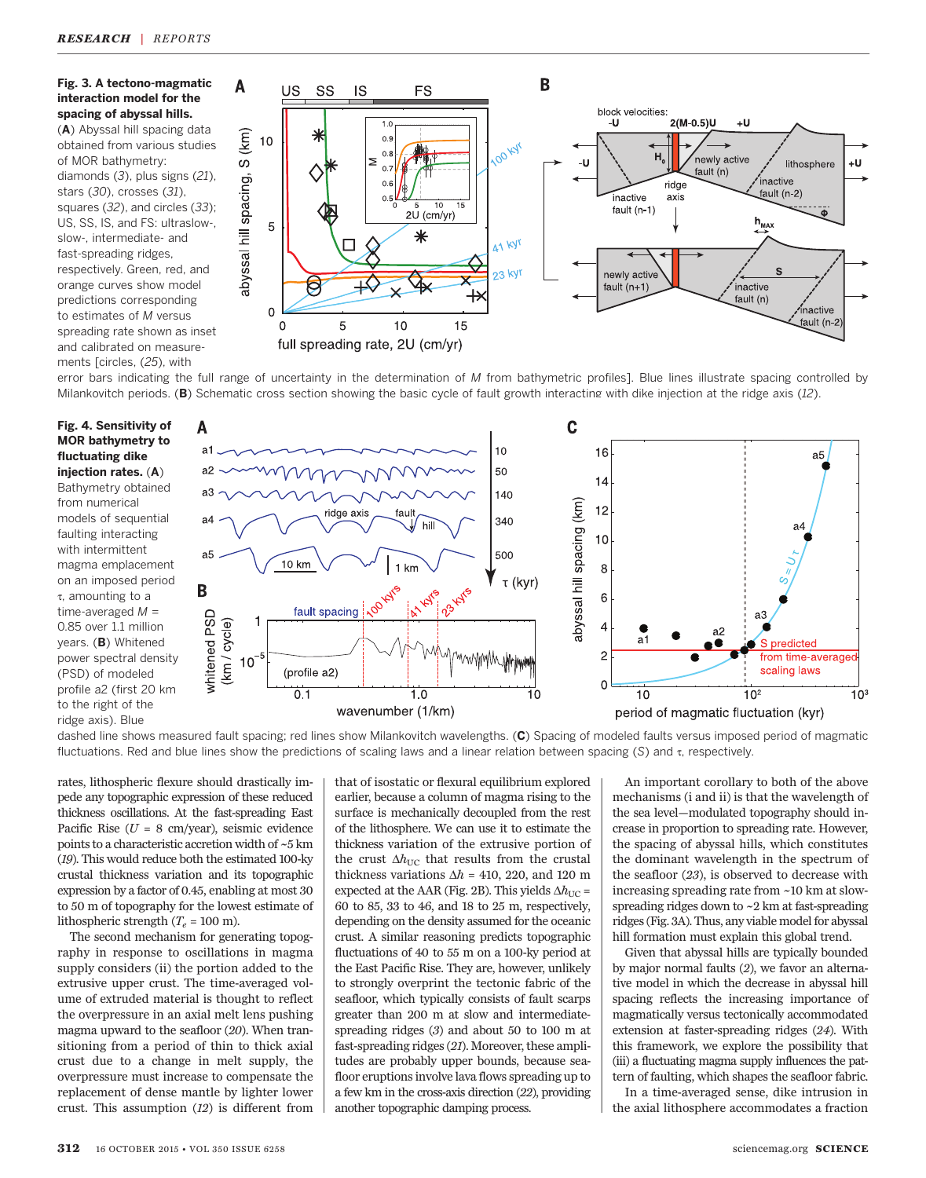## Fig. 3. A tectono-magmatic interaction model for the spacing of abyssal hills.

(A) Abyssal hill spacing data obtained from various studies of MOR bathymetry: diamonds (3), plus signs (21), stars (30), crosses (31), squares (32), and circles (33); US, SS, IS, and FS: ultraslow-, slow-, intermediate- and fast-spreading ridges, respectively. Green, red, and orange curves show model predictions corresponding to estimates of M versus spreading rate shown as inset and calibrated on measurements [circles, (25), with



error bars indicating the full range of uncertainty in the determination of M from bathymetric profiles]. Blue lines illustrate spacing controlled by Milankovitch periods. (B) Schematic cross section showing the basic cycle of fault growth interacting with dike injection at the ridge axis (12).

## Fig. 4. Sensitivity of MOR bathymetry to fluctuating dike injection rates. (A)

Bathymetry obtained from numerical models of sequential faulting interacting with intermittent magma emplacement on an imposed period t, amounting to a time-averaged  $M =$ 0.85 over 1.1 million years. (B) Whitened power spectral density (PSD) of modeled profile a2 (first 20 km to the right of the ridge axis). Blue



dashed line shows measured fault spacing; red lines show Milankovitch wavelengths. (C) Spacing of modeled faults versus imposed period of magmatic fluctuations. Red and blue lines show the predictions of scaling laws and a linear relation between spacing (S) and  $\tau$ , respectively.

rates, lithospheric flexure should drastically impede any topographic expression of these reduced thickness oscillations. At the fast-spreading East Pacific Rise ( $U = 8$  cm/year), seismic evidence points to a characteristic accretion width of ~5 km (19). This would reduce both the estimated 100-ky crustal thickness variation and its topographic expression by a factor of 0.45, enabling at most 30 to 50 m of topography for the lowest estimate of lithospheric strength  $(T_e = 100 \text{ m})$ .

The second mechanism for generating topography in response to oscillations in magma supply considers (ii) the portion added to the extrusive upper crust. The time-averaged volume of extruded material is thought to reflect the overpressure in an axial melt lens pushing magma upward to the seafloor (20). When transitioning from a period of thin to thick axial crust due to a change in melt supply, the overpressure must increase to compensate the replacement of dense mantle by lighter lower crust. This assumption (12) is different from

that of isostatic or flexural equilibrium explored earlier, because a column of magma rising to the surface is mechanically decoupled from the rest of the lithosphere. We can use it to estimate the thickness variation of the extrusive portion of the crust  $\Delta h_{\text{UC}}$  that results from the crustal thickness variations  $\Delta h = 410, 220,$  and 120 m expected at the AAR (Fig. 2B). This yields  $\Delta h_{\text{UC}}$  = 60 to 85, 33 to 46, and 18 to 25 m, respectively, depending on the density assumed for the oceanic crust. A similar reasoning predicts topographic fluctuations of 40 to 55 m on a 100-ky period at the East Pacific Rise. They are, however, unlikely to strongly overprint the tectonic fabric of the seafloor, which typically consists of fault scarps greater than 200 m at slow and intermediatespreading ridges (3) and about 50 to 100 m at fast-spreading ridges (21). Moreover, these amplitudes are probably upper bounds, because seafloor eruptions involve lava flows spreading up to a few km in the cross-axis direction (22), providing another topographic damping process.

An important corollary to both of the above mechanisms (i and ii) is that the wavelength of the sea level—modulated topography should increase in proportion to spreading rate. However, the spacing of abyssal hills, which constitutes the dominant wavelength in the spectrum of the seafloor (23), is observed to decrease with increasing spreading rate from ~10 km at slowspreading ridges down to  $\sim$  2 km at fast-spreading ridges (Fig. 3A). Thus, any viable model for abyssal hill formation must explain this global trend.

Given that abyssal hills are typically bounded by major normal faults (2), we favor an alternative model in which the decrease in abyssal hill spacing reflects the increasing importance of magmatically versus tectonically accommodated extension at faster-spreading ridges (24). With this framework, we explore the possibility that (iii) a fluctuating magma supply influences the pattern of faulting, which shapes the seafloor fabric.

In a time-averaged sense, dike intrusion in the axial lithosphere accommodates a fraction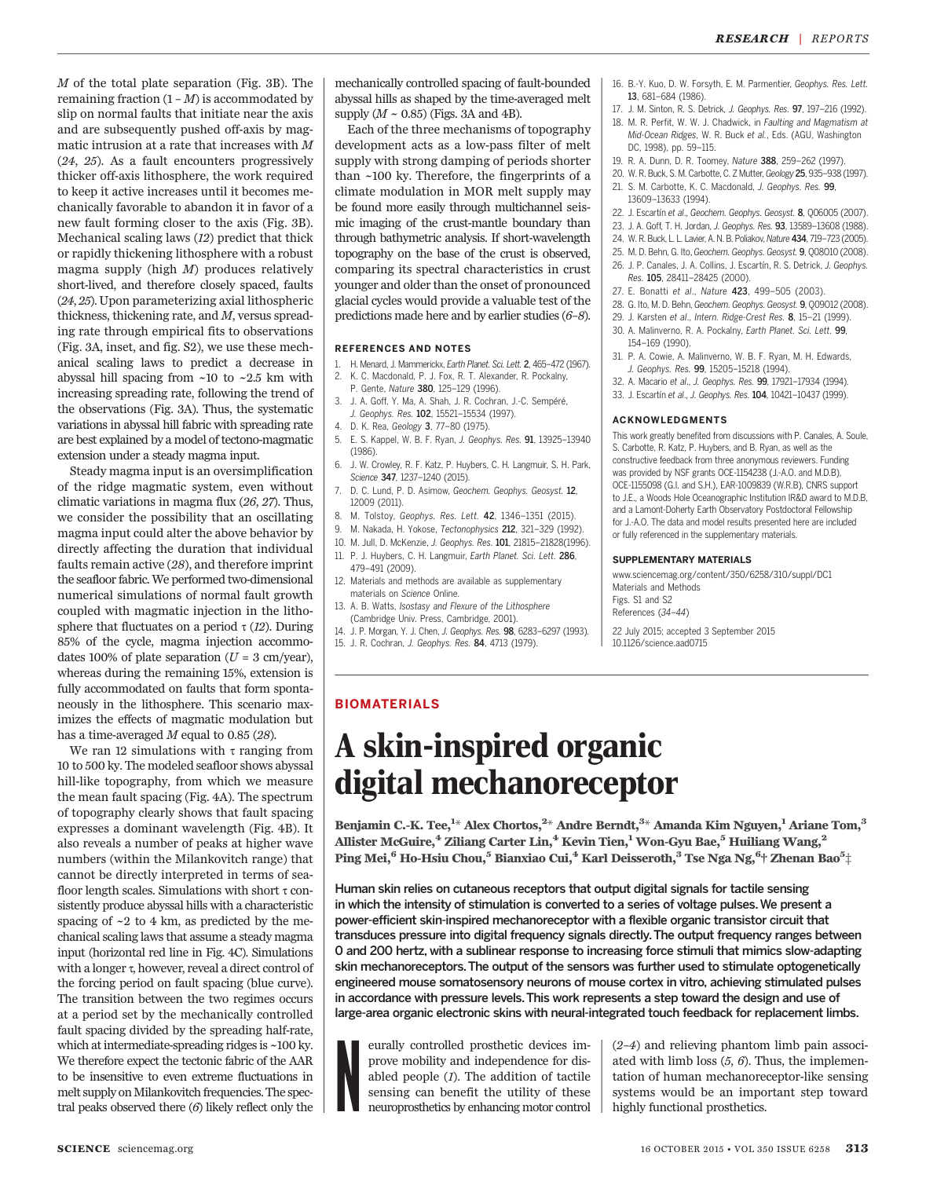M of the total plate separation (Fig. 3B). The remaining fraction  $(1 - M)$  is accommodated by slip on normal faults that initiate near the axis and are subsequently pushed off-axis by magmatic intrusion at a rate that increases with M (24, 25). As a fault encounters progressively thicker off-axis lithosphere, the work required to keep it active increases until it becomes mechanically favorable to abandon it in favor of a new fault forming closer to the axis (Fig. 3B). Mechanical scaling laws (12) predict that thick or rapidly thickening lithosphere with a robust magma supply (high M) produces relatively short-lived, and therefore closely spaced, faults (24, 25). Upon parameterizing axial lithospheric thickness, thickening rate, and M, versus spreading rate through empirical fits to observations (Fig. 3A, inset, and fig. S2), we use these mechanical scaling laws to predict a decrease in abyssal hill spacing from ~10 to ~2.5 km with increasing spreading rate, following the trend of the observations (Fig. 3A). Thus, the systematic variations in abyssal hill fabric with spreading rate are best explained by a model of tectono-magmatic extension under a steady magma input.

Steady magma input is an oversimplification of the ridge magmatic system, even without climatic variations in magma flux (26, 27). Thus, we consider the possibility that an oscillating magma input could alter the above behavior by directly affecting the duration that individual faults remain active (28), and therefore imprint the seafloor fabric. We performed two-dimensional numerical simulations of normal fault growth coupled with magmatic injection in the lithosphere that fluctuates on a period  $\tau$  (12). During 85% of the cycle, magma injection accommodates 100% of plate separation ( $U = 3$  cm/year), whereas during the remaining 15%, extension is fully accommodated on faults that form spontaneously in the lithosphere. This scenario maximizes the effects of magmatic modulation but has a time-averaged  $M$  equal to 0.85 (28).

We ran 12 simulations with  $\tau$  ranging from 10 to 500 ky. The modeled seafloor shows abyssal hill-like topography, from which we measure the mean fault spacing (Fig. 4A). The spectrum of topography clearly shows that fault spacing expresses a dominant wavelength (Fig. 4B). It also reveals a number of peaks at higher wave numbers (within the Milankovitch range) that cannot be directly interpreted in terms of seafloor length scales. Simulations with short  $\tau$  consistently produce abyssal hills with a characteristic spacing of  $\sim$ 2 to 4 km, as predicted by the mechanical scaling laws that assume a steady magma input (horizontal red line in Fig. 4C). Simulations with a longer  $\tau$ , however, reveal a direct control of the forcing period on fault spacing (blue curve). The transition between the two regimes occurs at a period set by the mechanically controlled fault spacing divided by the spreading half-rate, which at intermediate-spreading ridges is ~100 ky. We therefore expect the tectonic fabric of the AAR to be insensitive to even extreme fluctuations in melt supply on Milankovitch frequencies. The spectral peaks observed there (6) likely reflect only the

mechanically controlled spacing of fault-bounded abyssal hills as shaped by the time-averaged melt supply  $(M \sim 0.85)$  (Figs. 3A and 4B).

Each of the three mechanisms of topography development acts as a low-pass filter of melt supply with strong damping of periods shorter than ~100 ky. Therefore, the fingerprints of a climate modulation in MOR melt supply may be found more easily through multichannel seismic imaging of the crust-mantle boundary than through bathymetric analysis. If short-wavelength topography on the base of the crust is observed, comparing its spectral characteristics in crust younger and older than the onset of pronounced glacial cycles would provide a valuable test of the predictions made here and by earlier studies (6–8).

#### REFERENCES AND NOTES

- 1. H. Menard, J. Mammerickx, Earth Planet. Sci. Lett. 2, 465–472 (1967).
- 2. K. C. Macdonald, P. J. Fox, R. T. Alexander, R. Pockalny,
- P. Gente, Nature 380, 125–129 (1996). 3. J. A. Goff, Y. Ma, A. Shah, J. R. Cochran, J.-C. Sempéré,
- J. Geophys. Res. 102, 15521–15534 (1997).
- 4. D. K. Rea, Geology 3, 77–80 (1975).
- 5. E. S. Kappel, W. B. F. Ryan, J. Geophys. Res. 91, 13925–13940 (1986).
- 6. J. W. Crowley, R. F. Katz, P. Huybers, C. H. Langmuir, S. H. Park, Science 347, 1237–1240 (2015).
- 7. D. C. Lund, P. D. Asimow, Geochem. Geophys. Geosyst. 12, 12009 (2011).
- 8. M. Tolstoy, Geophys. Res. Lett. 42, 1346–1351 (2015).
- 9. M. Nakada, H. Yokose, Tectonophysics 212, 321–329 (1992).
- 10. M. Jull, D. McKenzie, J. Geophys. Res. 101, 21815–21828(1996).
- 11. P. J. Huybers, C. H. Langmuir, Earth Planet. Sci. Lett. 286,
- 479–491 (2009). 12. Materials and methods are available as supplementary materials on Science Online.
- 13. A. B. Watts, Isostasy and Flexure of the Lithosphere (Cambridge Univ. Press, Cambridge, 2001).
- 14. J. P. Morgan, Y. J. Chen, J. Geophys. Res. 98, 6283–6297 (1993).
- 15. J. R. Cochran, J. Geophys. Res. 84, 4713 (1979).
- 16. B.-Y. Kuo, D. W. Forsyth, E. M. Parmentier, Geophys. Res. Lett. 13, 681–684 (1986).
- 17. J. M. Sinton, R. S. Detrick, J. Geophys. Res. 97, 197–216 (1992).
- 18. M. R. Perfit, W. W. J. Chadwick, in Faulting and Magmatism at Mid-Ocean Ridges, W. R. Buck et al., Eds. (AGU, Washington DC, 1998), pp. 59–115.
- 19. R. A. Dunn, D. R. Toomey, Nature 388, 259–262 (1997).
- 20. W. R. Buck, S. M. Carbotte, C. Z Mutter, Geology 25, 935–938 (1997). 21. S. M. Carbotte, K. C. Macdonald, J. Geophys. Res. 99,
- 13609–13633 (1994).
- 22. J. Escartín et al., Geochem. Geophys. Geosyst. 8, Q06005 (2007).
- 23. J. A. Goff, T. H. Jordan, J. Geophys. Res. 93, 13589–13608 (1988).
- 24. W. R. Buck, L. L. Lavier, A. N. B. Poliakov, Nature 434, 719–723 (2005).
- 25. M. D. Behn, G. Ito, Geochem. Geophys. Geosyst. 9, Q08O10 (2008). 26. J. P. Canales, J. A. Collins, J. Escartín, R. S. Detrick, J. Geophys. Res. 105, 28411–28425 (2000).
- 27. E. Bonatti et al., Nature 423, 499-505 (2003).
- 28. G. Ito, M. D. Behn, Geochem. Geophys. Geosyst. 9, Q09O12 (2008).
- 29. J. Karsten et al., Intern. Ridge-Crest Res. 8, 15–21 (1999).
- 30. A. Malinverno, R. A. Pockalny, Earth Planet. Sci. Lett. 99, 154–169 (1990).
- 31. P. A. Cowie, A. Malinverno, W. B. F. Ryan, M. H. Edwards, J. Geophys. Res. 99, 15205–15218 (1994).
- 32. A. Macario et al., J. Geophys. Res. 99, 17921–17934 (1994).
- 33. J. Escartín et al., J. Geophys. Res. 104, 10421–10437 (1999).

#### ACKNOWLEDGMENTS

This work greatly benefited from discussions with P. Canales, A. Soule, S. Carbotte, R. Katz, P. Huybers, and B. Ryan, as well as the constructive feedback from three anonymous reviewers. Funding was provided by NSF grants OCE-1154238 (J.-A.O. and M.D.B), OCE-1155098 (G.I. and S.H.), EAR-1009839 (W.R.B), CNRS support to J.E., a Woods Hole Oceanographic Institution IR&D award to M.D.B, and a Lamont-Doherty Earth Observatory Postdoctoral Fellowship for J.-A.O. The data and model results presented here are included or fully referenced in the supplementary materials.

#### SUPPLEMENTARY MATERIALS

www.sciencemag.org/content/350/6258/310/suppl/DC1 Materials and Methods Figs. S1 and S2 References (34–44)

22 July 2015; accepted 3 September 2015 10.1126/science.aad0715

## BIOMATERIALS

## A skin-inspired organic digital mechanoreceptor

Benjamin C.-K. Tee, $^{1\star}$  Alex Chortos, $^{2\star}$  Andre Berndt, $^{3\star}$  Amanda Kim Nguyen, $^1$  Ariane Tom, $^3$ Allister McGuire,<sup>4</sup> Ziliang Carter Lin,<sup>4</sup> Kevin Tien,<sup>1</sup> Won-Gyu Bae,<sup>5</sup> Huiliang Wang,<sup>2</sup> Ping Mei,<sup>6</sup> Ho-Hsiu Chou,<sup>5</sup> Bianxiao Cui,<sup>4</sup> Karl Deisseroth,<sup>3</sup> Tse Nga Ng,<sup>6</sup>† Zhenan Bao<sup>5</sup>‡

Human skin relies on cutaneous receptors that output digital signals for tactile sensing in which the intensity of stimulation is converted to a series of voltage pulses.We present a power-efficient skin-inspired mechanoreceptor with a flexible organic transistor circuit that transduces pressure into digital frequency signals directly.The output frequency ranges between 0 and 200 hertz, with a sublinear response to increasing force stimuli that mimics slow-adapting skin mechanoreceptors.The output of the sensors was further used to stimulate optogenetically engineered mouse somatosensory neurons of mouse cortex in vitro, achieving stimulated pulses in accordance with pressure levels.This work represents a step toward the design and use of large-area organic electronic skins with neural-integrated touch feedback for replacement limbs.

N eurally controlled prosthetic devices improve mobility and independence for disabled people (1). The addition of tactile sensing can benefit the utility of these neuroprosthetics by enhancing motor control

(2–4) and relieving phantom limb pain associated with limb loss  $(5, 6)$ . Thus, the implementation of human mechanoreceptor-like sensing systems would be an important step toward highly functional prosthetics.